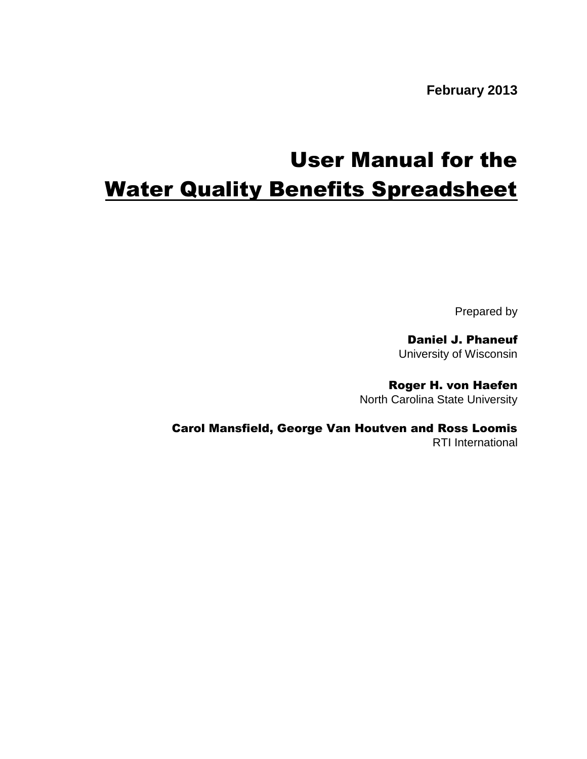**February 2013**

# User Manual for the **Water Quality Benefits Spreadsheet**

Prepared by

Daniel J. Phaneuf University of Wisconsin

Roger H. von Haefen North Carolina State University

Carol Mansfield, George Van Houtven and Ross Loomis RTI International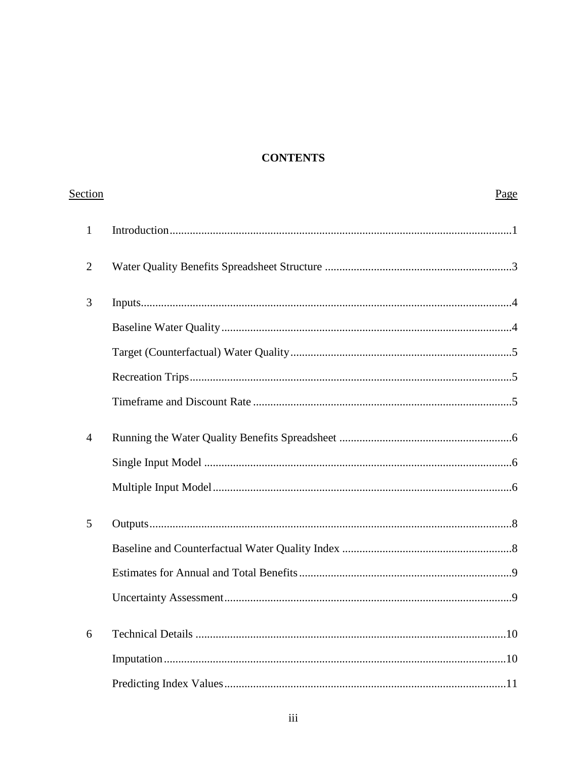# **CONTENTS**

| Section        | Page |
|----------------|------|
| $\mathbf{1}$   |      |
| $\overline{2}$ |      |
| 3              |      |
|                |      |
|                |      |
|                |      |
|                |      |
| $\overline{4}$ |      |
|                |      |
|                |      |
| 5              |      |
|                |      |
|                |      |
|                |      |
| 6              |      |
|                |      |
|                |      |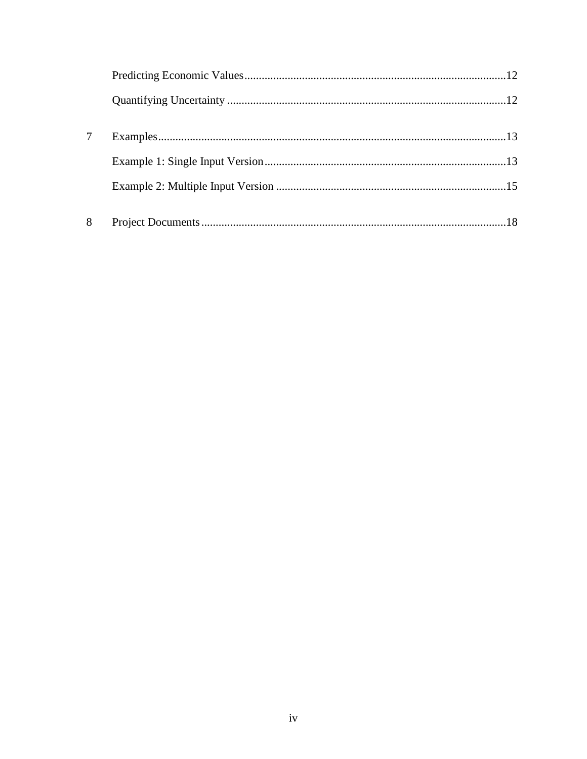| 8 |  |
|---|--|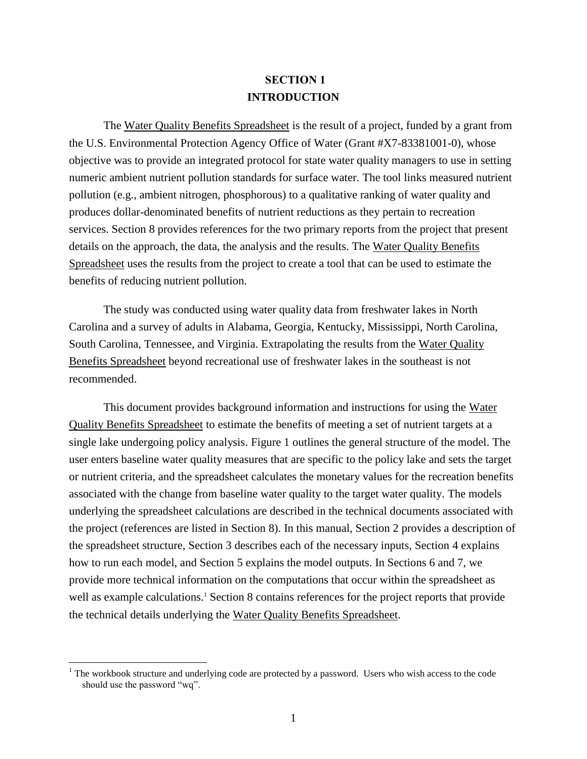# **SECTION 1 INTRODUCTION**

<span id="page-3-0"></span>The Water Quality Benefits Spreadsheet is the result of a project, funded by a grant from the U.S. Environmental Protection Agency Office of Water (Grant #X7-83381001-0), whose objective was to provide an integrated protocol for state water quality managers to use in setting numeric ambient nutrient pollution standards for surface water. The tool links measured nutrient pollution (e.g., ambient nitrogen, phosphorous) to a qualitative ranking of water quality and produces dollar-denominated benefits of nutrient reductions as they pertain to recreation services. Section 8 provides references for the two primary reports from the project that present details on the approach, the data, the analysis and the results. The Water Quality Benefits Spreadsheet uses the results from the project to create a tool that can be used to estimate the benefits of reducing nutrient pollution.

The study was conducted using water quality data from freshwater lakes in North Carolina and a survey of adults in Alabama, Georgia, Kentucky, Mississippi, North Carolina, South Carolina, Tennessee, and Virginia. Extrapolating the results from the Water Quality Benefits Spreadsheet beyond recreational use of freshwater lakes in the southeast is not recommended.

This document provides background information and instructions for using the Water Quality Benefits Spreadsheet to estimate the benefits of meeting a set of nutrient targets at a single lake undergoing policy analysis. Figure 1 outlines the general structure of the model. The user enters baseline water quality measures that are specific to the policy lake and sets the target or nutrient criteria, and the spreadsheet calculates the monetary values for the recreation benefits associated with the change from baseline water quality to the target water quality. The models underlying the spreadsheet calculations are described in the technical documents associated with the project (references are listed in Section 8). In this manual, Section 2 provides a description of the spreadsheet structure, Section 3 describes each of the necessary inputs, Section 4 explains how to run each model, and Section 5 explains the model outputs. In Sections 6 and 7, we provide more technical information on the computations that occur within the spreadsheet as well as example calculations.<sup>1</sup> Section 8 contains references for the project reports that provide the technical details underlying the Water Quality Benefits Spreadsheet.

 $\overline{a}$ 

 $1$  The workbook structure and underlying code are protected by a password. Users who wish access to the code should use the password "wq".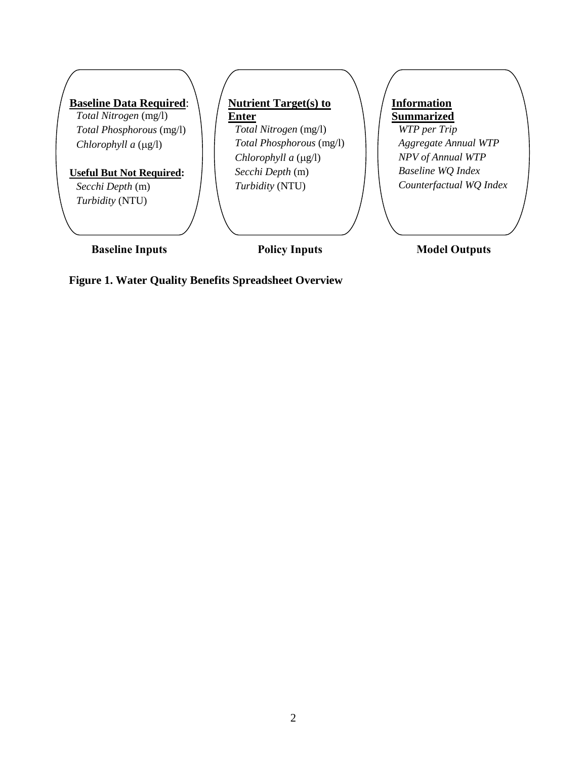

**Figure 1. Water Quality Benefits Spreadsheet Overview**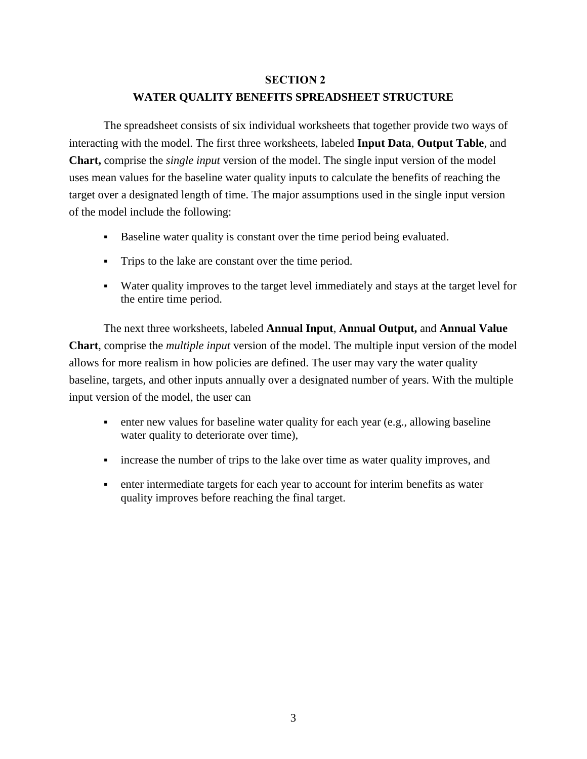### **SECTION 2**

# **WATER QUALITY BENEFITS SPREADSHEET STRUCTURE**

<span id="page-5-0"></span>The spreadsheet consists of six individual worksheets that together provide two ways of interacting with the model. The first three worksheets, labeled **Input Data**, **Output Table**, and **Chart,** comprise the *single input* version of the model. The single input version of the model uses mean values for the baseline water quality inputs to calculate the benefits of reaching the target over a designated length of time. The major assumptions used in the single input version of the model include the following:

- Baseline water quality is constant over the time period being evaluated.
- Trips to the lake are constant over the time period.
- Water quality improves to the target level immediately and stays at the target level for the entire time period.

The next three worksheets, labeled **Annual Input**, **Annual Output,** and **Annual Value Chart**, comprise the *multiple input* version of the model. The multiple input version of the model allows for more realism in how policies are defined. The user may vary the water quality baseline, targets, and other inputs annually over a designated number of years. With the multiple input version of the model, the user can

- enter new values for baseline water quality for each year (e.g., allowing baseline water quality to deteriorate over time),
- increase the number of trips to the lake over time as water quality improves, and
- enter intermediate targets for each year to account for interim benefits as water quality improves before reaching the final target.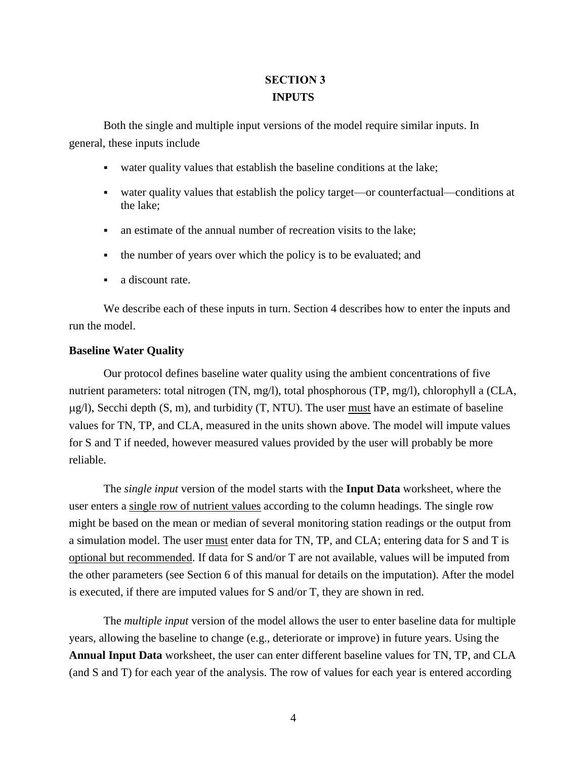# **SECTION 3 INPUTS**

<span id="page-6-0"></span>Both the single and multiple input versions of the model require similar inputs. In general, these inputs include

- water quality values that establish the baseline conditions at the lake;
- water quality values that establish the policy target—or counterfactual—conditions at the lake;
- an estimate of the annual number of recreation visits to the lake;
- the number of years over which the policy is to be evaluated; and
- a discount rate.

We describe each of these inputs in turn. Section 4 describes how to enter the inputs and run the model.

### <span id="page-6-1"></span>**Baseline Water Quality**

Our protocol defines baseline water quality using the ambient concentrations of five nutrient parameters: total nitrogen (TN, mg/l), total phosphorous (TP, mg/l), chlorophyll a (CLA,  $\mu$ g/l), Secchi depth (S, m), and turbidity (T, NTU). The user <u>must</u> have an estimate of baseline values for TN, TP, and CLA, measured in the units shown above. The model will impute values for S and T if needed, however measured values provided by the user will probably be more reliable.

The *single input* version of the model starts with the **Input Data** worksheet, where the user enters a single row of nutrient values according to the column headings. The single row might be based on the mean or median of several monitoring station readings or the output from a simulation model. The user must enter data for TN, TP, and CLA; entering data for S and T is optional but recommended. If data for S and/or T are not available, values will be imputed from the other parameters (see Section 6 of this manual for details on the imputation). After the model is executed, if there are imputed values for S and/or T, they are shown in red.

The *multiple input* version of the model allows the user to enter baseline data for multiple years, allowing the baseline to change (e.g., deteriorate or improve) in future years. Using the **Annual Input Data** worksheet, the user can enter different baseline values for TN, TP, and CLA (and S and T) for each year of the analysis. The row of values for each year is entered according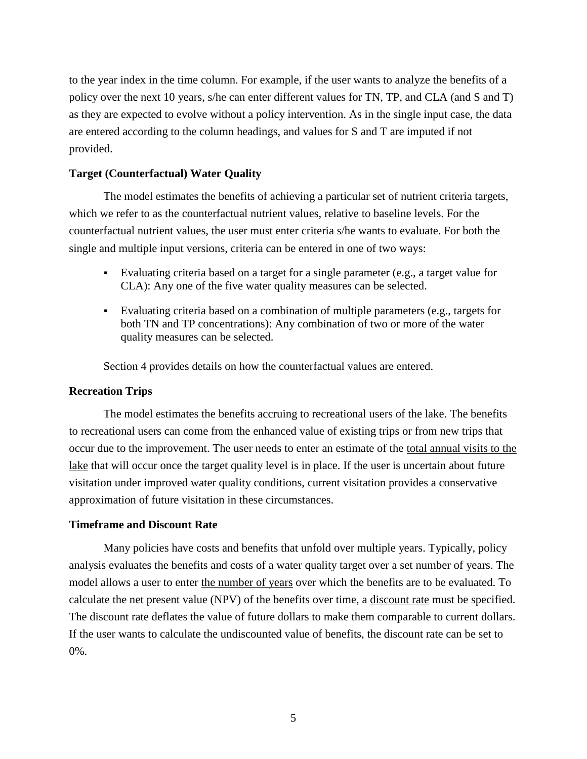to the year index in the time column. For example, if the user wants to analyze the benefits of a policy over the next 10 years, s/he can enter different values for TN, TP, and CLA (and S and T) as they are expected to evolve without a policy intervention. As in the single input case, the data are entered according to the column headings, and values for S and T are imputed if not provided.

# <span id="page-7-0"></span>**Target (Counterfactual) Water Quality**

The model estimates the benefits of achieving a particular set of nutrient criteria targets, which we refer to as the counterfactual nutrient values, relative to baseline levels. For the counterfactual nutrient values, the user must enter criteria s/he wants to evaluate. For both the single and multiple input versions, criteria can be entered in one of two ways:

- Evaluating criteria based on a target for a single parameter (e.g., a target value for CLA): Any one of the five water quality measures can be selected.
- Evaluating criteria based on a combination of multiple parameters (e.g., targets for both TN and TP concentrations): Any combination of two or more of the water quality measures can be selected.

Section 4 provides details on how the counterfactual values are entered.

### <span id="page-7-1"></span>**Recreation Trips**

The model estimates the benefits accruing to recreational users of the lake. The benefits to recreational users can come from the enhanced value of existing trips or from new trips that occur due to the improvement. The user needs to enter an estimate of the total annual visits to the lake that will occur once the target quality level is in place. If the user is uncertain about future visitation under improved water quality conditions, current visitation provides a conservative approximation of future visitation in these circumstances.

#### <span id="page-7-2"></span>**Timeframe and Discount Rate**

Many policies have costs and benefits that unfold over multiple years. Typically, policy analysis evaluates the benefits and costs of a water quality target over a set number of years. The model allows a user to enter the number of years over which the benefits are to be evaluated. To calculate the net present value (NPV) of the benefits over time, a discount rate must be specified. The discount rate deflates the value of future dollars to make them comparable to current dollars. If the user wants to calculate the undiscounted value of benefits, the discount rate can be set to 0%.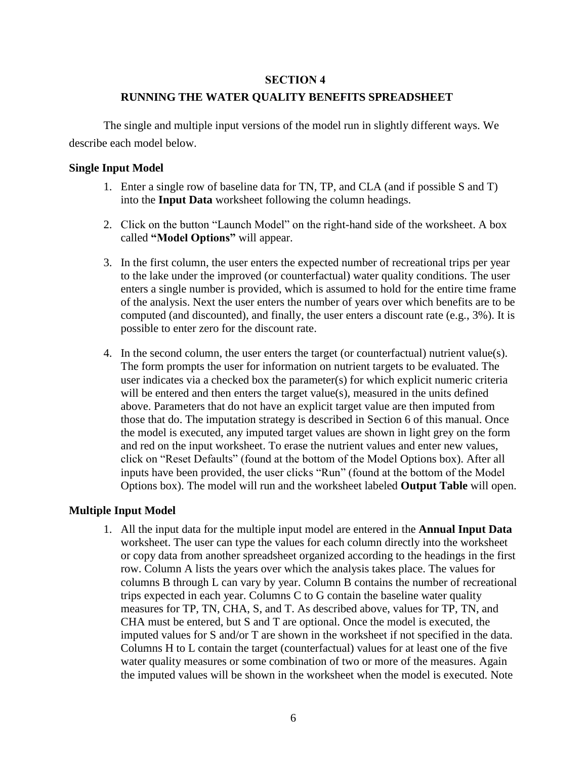### **SECTION 4**

### **RUNNING THE WATER QUALITY BENEFITS SPREADSHEET**

<span id="page-8-0"></span>The single and multiple input versions of the model run in slightly different ways. We describe each model below.

### <span id="page-8-1"></span>**Single Input Model**

- 1. Enter a single row of baseline data for TN, TP, and CLA (and if possible S and T) into the **Input Data** worksheet following the column headings.
- 2. Click on the button "Launch Model" on the right-hand side of the worksheet. A box called **"Model Options"** will appear.
- 3. In the first column, the user enters the expected number of recreational trips per year to the lake under the improved (or counterfactual) water quality conditions. The user enters a single number is provided, which is assumed to hold for the entire time frame of the analysis. Next the user enters the number of years over which benefits are to be computed (and discounted), and finally, the user enters a discount rate (e.g., 3%). It is possible to enter zero for the discount rate.
- 4. In the second column, the user enters the target (or counterfactual) nutrient value(s). The form prompts the user for information on nutrient targets to be evaluated. The user indicates via a checked box the parameter(s) for which explicit numeric criteria will be entered and then enters the target value $(s)$ , measured in the units defined above. Parameters that do not have an explicit target value are then imputed from those that do. The imputation strategy is described in Section 6 of this manual. Once the model is executed, any imputed target values are shown in light grey on the form and red on the input worksheet. To erase the nutrient values and enter new values, click on "Reset Defaults" (found at the bottom of the Model Options box). After all inputs have been provided, the user clicks "Run" (found at the bottom of the Model Options box). The model will run and the worksheet labeled **Output Table** will open.

# <span id="page-8-2"></span>**Multiple Input Model**

1. All the input data for the multiple input model are entered in the **Annual Input Data** worksheet. The user can type the values for each column directly into the worksheet or copy data from another spreadsheet organized according to the headings in the first row. Column A lists the years over which the analysis takes place. The values for columns B through L can vary by year. Column B contains the number of recreational trips expected in each year. Columns C to G contain the baseline water quality measures for TP, TN, CHA, S, and T. As described above, values for TP, TN, and CHA must be entered, but S and T are optional. Once the model is executed, the imputed values for S and/or T are shown in the worksheet if not specified in the data. Columns H to L contain the target (counterfactual) values for at least one of the five water quality measures or some combination of two or more of the measures. Again the imputed values will be shown in the worksheet when the model is executed. Note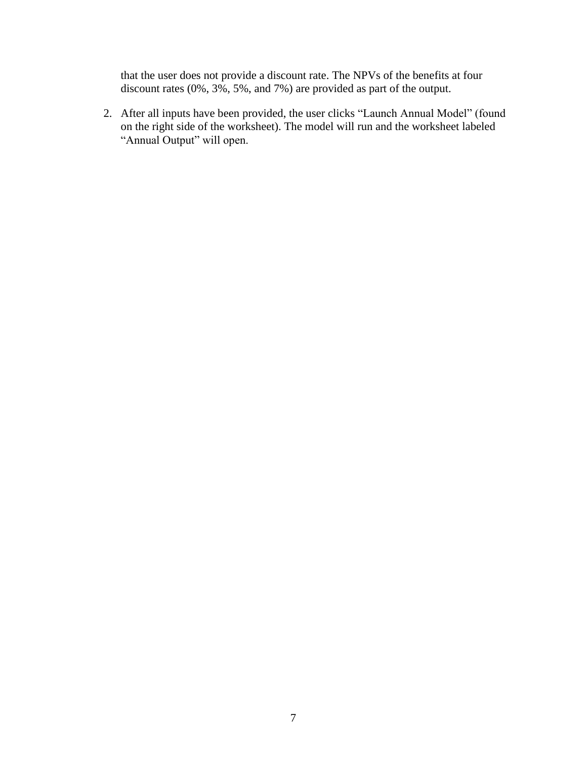that the user does not provide a discount rate. The NPVs of the benefits at four discount rates (0%, 3%, 5%, and 7%) are provided as part of the output.

2. After all inputs have been provided, the user clicks "Launch Annual Model" (found on the right side of the worksheet). The model will run and the worksheet labeled "Annual Output" will open.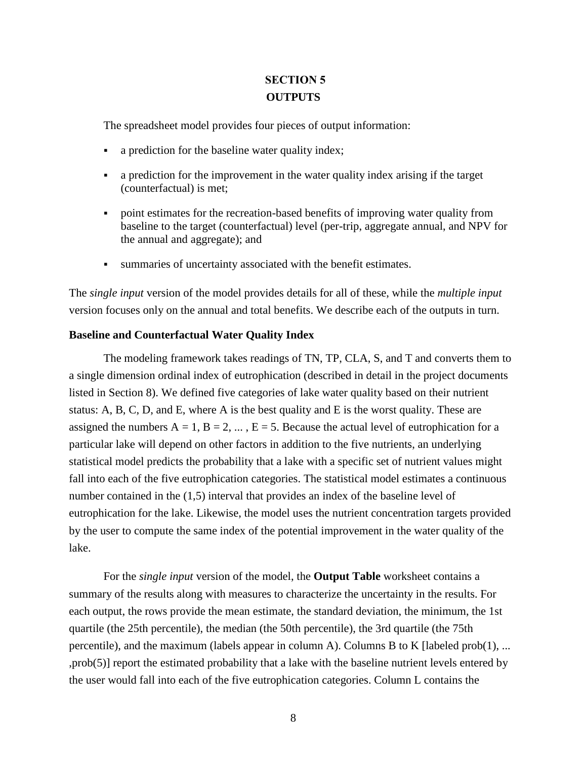# **SECTION 5 OUTPUTS**

<span id="page-10-0"></span>The spreadsheet model provides four pieces of output information:

- a prediction for the baseline water quality index;
- a prediction for the improvement in the water quality index arising if the target (counterfactual) is met;
- point estimates for the recreation-based benefits of improving water quality from baseline to the target (counterfactual) level (per-trip, aggregate annual, and NPV for the annual and aggregate); and
- summaries of uncertainty associated with the benefit estimates.

The *single input* version of the model provides details for all of these, while the *multiple input* version focuses only on the annual and total benefits. We describe each of the outputs in turn.

### <span id="page-10-1"></span>**Baseline and Counterfactual Water Quality Index**

The modeling framework takes readings of TN, TP, CLA, S, and T and converts them to a single dimension ordinal index of eutrophication (described in detail in the project documents listed in Section 8). We defined five categories of lake water quality based on their nutrient status: A, B, C, D, and E, where A is the best quality and E is the worst quality. These are assigned the numbers  $A = 1$ ,  $B = 2, ..., E = 5$ . Because the actual level of eutrophication for a particular lake will depend on other factors in addition to the five nutrients, an underlying statistical model predicts the probability that a lake with a specific set of nutrient values might fall into each of the five eutrophication categories. The statistical model estimates a continuous number contained in the (1,5) interval that provides an index of the baseline level of eutrophication for the lake. Likewise, the model uses the nutrient concentration targets provided by the user to compute the same index of the potential improvement in the water quality of the lake.

For the *single input* version of the model, the **Output Table** worksheet contains a summary of the results along with measures to characterize the uncertainty in the results. For each output, the rows provide the mean estimate, the standard deviation, the minimum, the 1st quartile (the 25th percentile), the median (the 50th percentile), the 3rd quartile (the 75th percentile), and the maximum (labels appear in column A). Columns B to K [labeled prob(1), ... ,prob(5)] report the estimated probability that a lake with the baseline nutrient levels entered by the user would fall into each of the five eutrophication categories. Column L contains the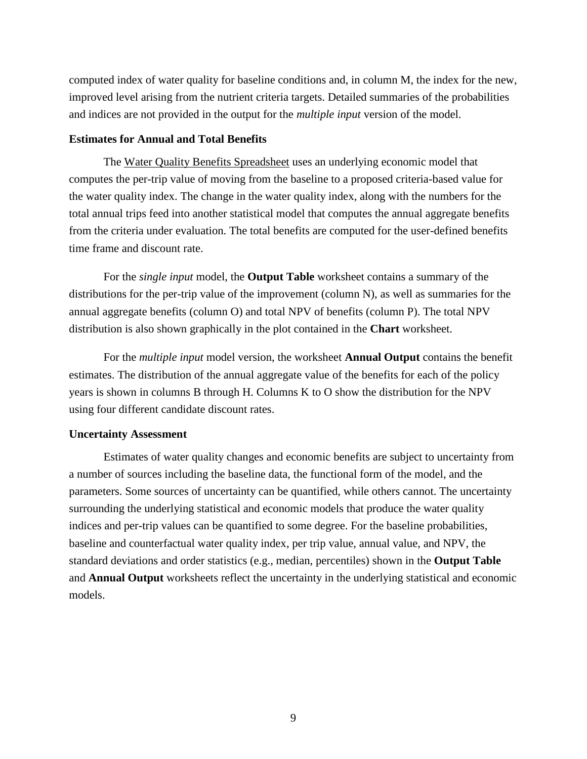computed index of water quality for baseline conditions and, in column M, the index for the new, improved level arising from the nutrient criteria targets. Detailed summaries of the probabilities and indices are not provided in the output for the *multiple input* version of the model.

### <span id="page-11-0"></span>**Estimates for Annual and Total Benefits**

The Water Quality Benefits Spreadsheet uses an underlying economic model that computes the per-trip value of moving from the baseline to a proposed criteria-based value for the water quality index. The change in the water quality index, along with the numbers for the total annual trips feed into another statistical model that computes the annual aggregate benefits from the criteria under evaluation. The total benefits are computed for the user-defined benefits time frame and discount rate.

For the *single input* model, the **Output Table** worksheet contains a summary of the distributions for the per-trip value of the improvement (column N), as well as summaries for the annual aggregate benefits (column O) and total NPV of benefits (column P). The total NPV distribution is also shown graphically in the plot contained in the **Chart** worksheet.

For the *multiple input* model version, the worksheet **Annual Output** contains the benefit estimates. The distribution of the annual aggregate value of the benefits for each of the policy years is shown in columns B through H. Columns K to O show the distribution for the NPV using four different candidate discount rates.

### <span id="page-11-1"></span>**Uncertainty Assessment**

Estimates of water quality changes and economic benefits are subject to uncertainty from a number of sources including the baseline data, the functional form of the model, and the parameters. Some sources of uncertainty can be quantified, while others cannot. The uncertainty surrounding the underlying statistical and economic models that produce the water quality indices and per-trip values can be quantified to some degree. For the baseline probabilities, baseline and counterfactual water quality index, per trip value, annual value, and NPV, the standard deviations and order statistics (e.g., median, percentiles) shown in the **Output Table** and **Annual Output** worksheets reflect the uncertainty in the underlying statistical and economic models.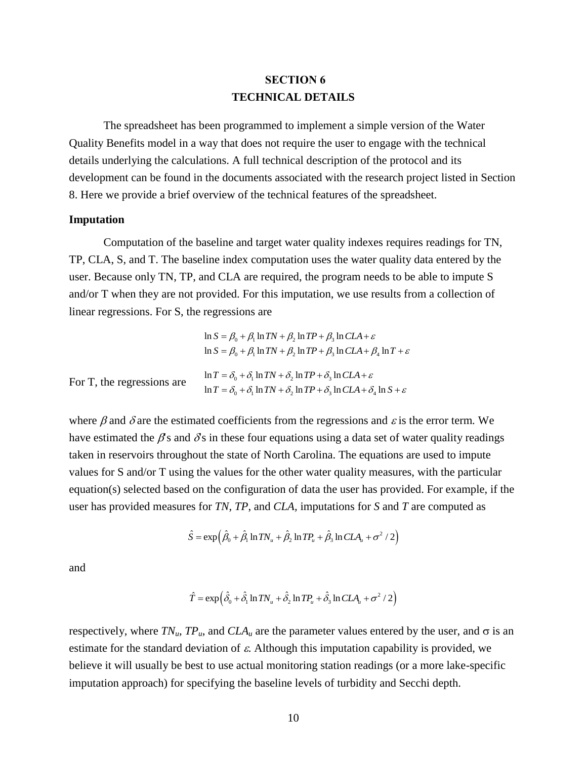# **SECTION 6 TECHNICAL DETAILS**

<span id="page-12-0"></span>The spreadsheet has been programmed to implement a simple version of the Water Quality Benefits model in a way that does not require the user to engage with the technical details underlying the calculations. A full technical description of the protocol and its development can be found in the documents associated with the research project listed in Section 8. Here we provide a brief overview of the technical features of the spreadsheet.

#### <span id="page-12-1"></span>**Imputation**

Computation of the baseline and target water quality indexes requires readings for TN, TP, CLA, S, and T. The baseline index computation uses the water quality data entered by the user. Because only TN, TP, and CLA are required, the program needs to be able to impute S and/or T when they are not provided. For this imputation, we use results from a collection of linear regressions. For S, the regressions are

| $\frac{1}{2}$              |                                                                                                                                                                                                     |
|----------------------------|-----------------------------------------------------------------------------------------------------------------------------------------------------------------------------------------------------|
|                            | $\ln S = \beta_0 + \beta_1 \ln TN + \beta_2 \ln TP + \beta_3 \ln CLA + \varepsilon$<br>$\ln S = \beta_0 + \beta_1 \ln TN + \beta_2 \ln TP + \beta_3 \ln CLA + \beta_4 \ln T + \varepsilon$          |
| For T, the regressions are | $\ln T = \delta_0 + \delta_1 \ln TN + \delta_2 \ln TP + \delta_3 \ln CLA + \varepsilon$<br>$\ln T = \delta_0 + \delta_1 \ln TN + \delta_2 \ln TP + \delta_3 \ln CLA + \delta_4 \ln S + \varepsilon$ |

where  $\beta$  and  $\delta$  are the estimated coefficients from the regressions and  $\varepsilon$  is the error term. We have estimated the  $\beta$ 's and  $\delta$ 's in these four equations using a data set of water quality readings taken in reservoirs throughout the state of North Carolina. The equations are used to impute values for S and/or T using the values for the other water quality measures, with the particular equation(s) selected based on the configuration of data the user has provided. For example, if the user has provided measures for *TN*, *TP*, and *CLA,* imputations for *S* and *T* are computed as

$$
\hat{S} = \exp\left(\hat{\beta}_0 + \hat{\beta}_1 \ln TN_u + \hat{\beta}_2 \ln TP_u + \hat{\beta}_3 \ln CLA_u + \sigma^2 / 2\right)
$$

and

$$
\hat{T} = \exp\left(\hat{\delta}_0 + \hat{\delta}_1 \ln TN_u + \hat{\delta}_2 \ln TP_u + \hat{\delta}_3 \ln CLA_u + \sigma^2 / 2\right)
$$

respectively, where  $TN_u$ ,  $TP_u$ , and  $CLA_u$  are the parameter values entered by the user, and  $\sigma$  is an estimate for the standard deviation of  $\varepsilon$ . Although this imputation capability is provided, we believe it will usually be best to use actual monitoring station readings (or a more lake-specific imputation approach) for specifying the baseline levels of turbidity and Secchi depth.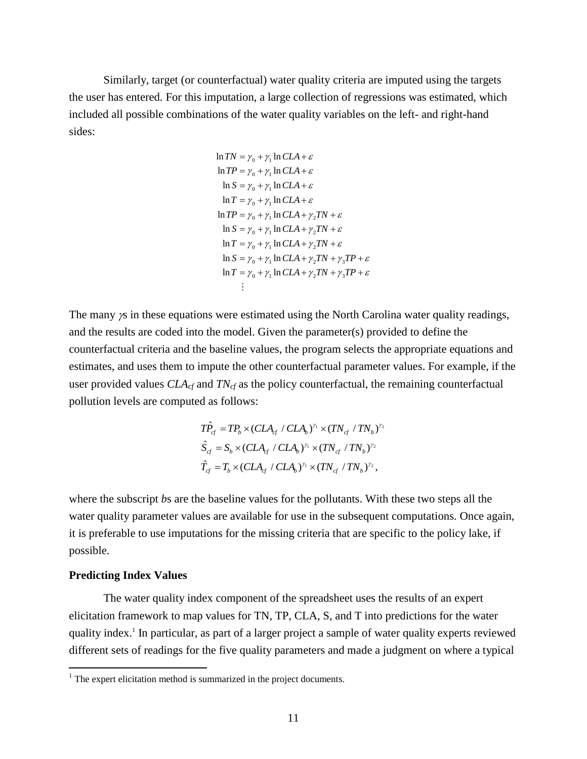Similarly, target (or counterfactual) water quality criteria are imputed using the targets the user has entered. For this imputation, a large collection of regressions was estimated, which included all possible combinations of the water quality variables on the left- and right-hand sides:

$$
\ln TN = \gamma_0 + \gamma_1 \ln CLA + \varepsilon
$$
  
\n
$$
\ln TP = \gamma_0 + \gamma_1 \ln CLA + \varepsilon
$$
  
\n
$$
\ln S = \gamma_0 + \gamma_1 \ln CLA + \varepsilon
$$
  
\n
$$
\ln T = \gamma_0 + \gamma_1 \ln CLA + \varepsilon
$$
  
\n
$$
\ln TP = \gamma_0 + \gamma_1 \ln CLA + \gamma_2 TN + \varepsilon
$$
  
\n
$$
\ln S = \gamma_0 + \gamma_1 \ln CLA + \gamma_2 TN + \varepsilon
$$
  
\n
$$
\ln T = \gamma_0 + \gamma_1 \ln CLA + \gamma_2 TN + \varepsilon
$$
  
\n
$$
\ln S = \gamma_0 + \gamma_1 \ln CLA + \gamma_2 TN + \gamma_3 TP + \varepsilon
$$
  
\n
$$
\ln T = \gamma_0 + \gamma_1 \ln CLA + \gamma_2 TN + \gamma_3 TP + \varepsilon
$$
  
\n:

The many  $\chi$  in these equations were estimated using the North Carolina water quality readings, and the results are coded into the model. Given the parameter(s) provided to define the counterfactual criteria and the baseline values, the program selects the appropriate equations and estimates, and uses them to impute the other counterfactual parameter values. For example, if the user provided values *CLAcf* and *TNcf* as the policy counterfactual, the remaining counterfactual pollution levels are computed as follows:

$$
T\hat{P}_{cf} = TP_b \times (CLA_{cf} / CLA_b)^{\gamma_1} \times (TN_{cf} / TN_b)^{\gamma_2}
$$
  
\n
$$
\hat{S}_{cf} = S_b \times (CLA_{cf} / CLA_b)^{\gamma_1} \times (TN_{cf} / TN_b)^{\gamma_2}
$$
  
\n
$$
\hat{T}_{cf} = T_b \times (CLA_{cf} / CLA_b)^{\gamma_1} \times (TN_{cf} / TN_b)^{\gamma_2},
$$

where the subscript *b*s are the baseline values for the pollutants. With these two steps all the water quality parameter values are available for use in the subsequent computations. Once again, it is preferable to use imputations for the missing criteria that are specific to the policy lake, if possible.

### <span id="page-13-0"></span>**Predicting Index Values**

 $\overline{a}$ 

The water quality index component of the spreadsheet uses the results of an expert elicitation framework to map values for TN, TP, CLA, S, and T into predictions for the water quality index.<sup>1</sup> In particular, as part of a larger project a sample of water quality experts reviewed different sets of readings for the five quality parameters and made a judgment on where a typical

 $1$ <sup>1</sup> The expert elicitation method is summarized in the project documents.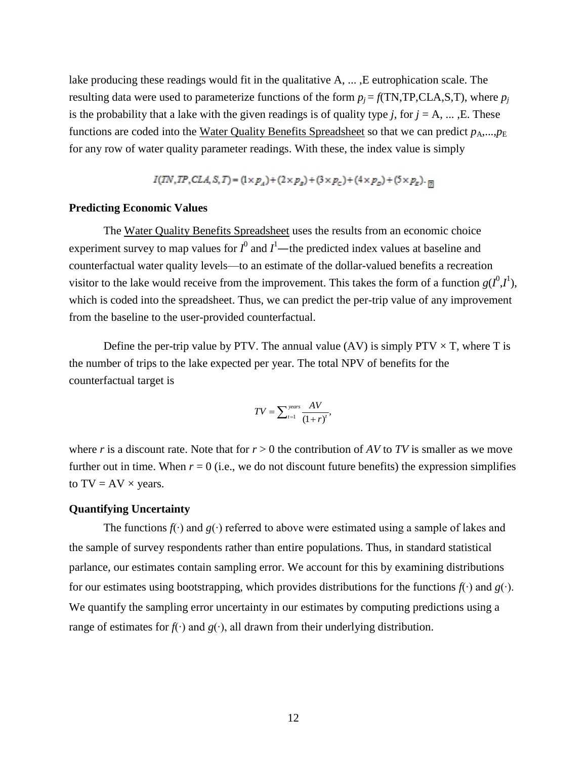lake producing these readings would fit in the qualitative A, ... ,E eutrophication scale. The resulting data were used to parameterize functions of the form  $p_j = f(TN,TP,CLA,S,T)$ , where  $p_j$ is the probability that a lake with the given readings is of quality type  $j$ , for  $j = A$ , ..., E. These functions are coded into the Water Quality Benefits Spreadsheet so that we can predict  $p_A$ ,..., $p_E$ for any row of water quality parameter readings. With these, the index value is simply

 $I(TN, TP, CLA, S, T) = (1 \times p_A) + (2 \times p_B) + (3 \times p_C) + (4 \times p_D) + (5 \times p_E) \cdot m$ 

### <span id="page-14-0"></span>**Predicting Economic Values**

The Water Quality Benefits Spreadsheet uses the results from an economic choice experiment survey to map values for  $I^0$  and  $I^1$ —the predicted index values at baseline and counterfactual water quality levels—to an estimate of the dollar-valued benefits a recreation visitor to the lake would receive from the improvement. This takes the form of a function  $g(I^0, I^1)$ , which is coded into the spreadsheet. Thus, we can predict the per-trip value of any improvement from the baseline to the user-provided counterfactual.

Define the per-trip value by PTV. The annual value (AV) is simply  $PTV \times T$ , where T is the number of trips to the lake expected per year. The total NPV of benefits for the counterfactual target is

$$
TV = \sum_{t=1}^{years} \frac{AV}{(1+r)^t},
$$

where *r* is a discount rate. Note that for  $r > 0$  the contribution of AV to TV is smaller as we move further out in time. When  $r = 0$  (i.e., we do not discount future benefits) the expression simplifies to  $TV = AV \times years$ .

#### <span id="page-14-1"></span>**Quantifying Uncertainty**

The functions *f*(∙) and *g*(∙) referred to above were estimated using a sample of lakes and the sample of survey respondents rather than entire populations. Thus, in standard statistical parlance, our estimates contain sampling error. We account for this by examining distributions for our estimates using bootstrapping, which provides distributions for the functions *f*(∙) and *g*(∙). We quantify the sampling error uncertainty in our estimates by computing predictions using a range of estimates for *f*(∙) and *g*(∙), all drawn from their underlying distribution.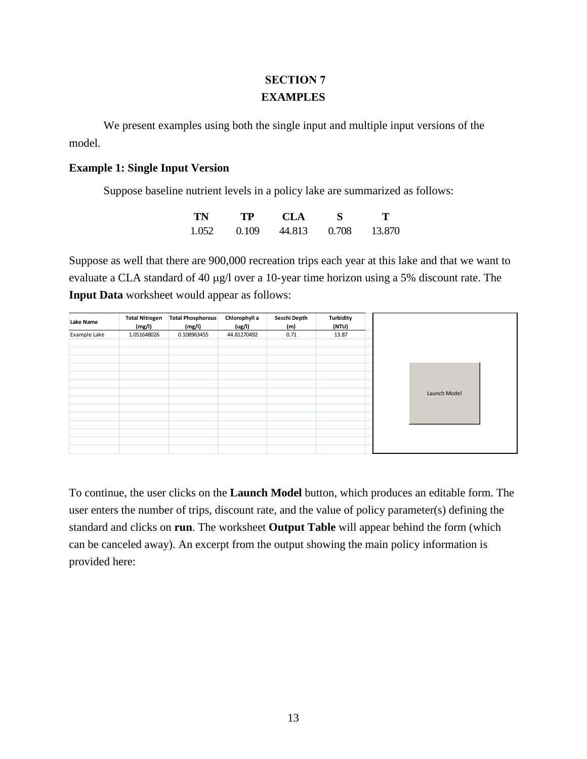# **SECTION 7 EXAMPLES**

<span id="page-15-0"></span>We present examples using both the single input and multiple input versions of the model.

### <span id="page-15-1"></span>**Example 1: Single Input Version**

Suppose baseline nutrient levels in a policy lake are summarized as follows:

| TN    | TP    | <b>CLA</b> |       | т      |
|-------|-------|------------|-------|--------|
| 1.052 | 0.109 | 44.813     | 0.708 | 13.870 |

Suppose as well that there are 900,000 recreation trips each year at this lake and that we want to evaluate a CLA standard of 40  $\mu$ g/l over a 10-year time horizon using a 5% discount rate. The **Input Data** worksheet would appear as follows:

| Lake Name    | <b>Total Nitrogen</b><br>(mg/l) | <b>Total Phosphorous</b><br>(mg/l) | Chlorophyll a<br>(ug/l) | Secchi Depth<br>(m) | Turbidity<br>(NTU) |  |
|--------------|---------------------------------|------------------------------------|-------------------------|---------------------|--------------------|--|
| Example Lake | 1.051648026                     | 0.108963455                        | 44.81270492             | 0.71                | 13.87              |  |
|              |                                 |                                    |                         |                     |                    |  |
|              |                                 |                                    |                         |                     |                    |  |
|              |                                 |                                    |                         |                     |                    |  |
|              |                                 |                                    |                         |                     |                    |  |
|              |                                 |                                    |                         |                     |                    |  |
|              |                                 |                                    |                         |                     |                    |  |
|              |                                 |                                    |                         |                     |                    |  |
|              |                                 |                                    |                         |                     |                    |  |
|              |                                 |                                    |                         |                     |                    |  |
|              |                                 |                                    |                         |                     |                    |  |
|              |                                 |                                    |                         |                     |                    |  |

To continue, the user clicks on the **Launch Model** button, which produces an editable form. The user enters the number of trips, discount rate, and the value of policy parameter(s) defining the standard and clicks on **run**. The worksheet **Output Table** will appear behind the form (which can be canceled away). An excerpt from the output showing the main policy information is provided here: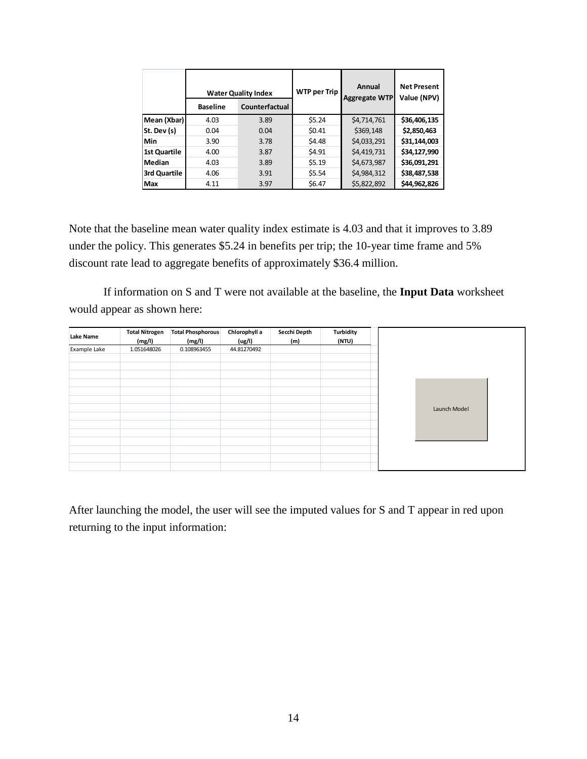|                     | <b>Water Quality Index</b> |                | <b>WTP per Trip</b> | Annual<br><b>Aggregate WTP</b> | <b>Net Present</b><br>Value (NPV) |  |
|---------------------|----------------------------|----------------|---------------------|--------------------------------|-----------------------------------|--|
|                     | <b>Baseline</b>            | Counterfactual |                     |                                |                                   |  |
| Mean (Xbar)         | 4.03                       | 3.89           | \$5.24              | \$4,714,761                    | \$36,406,135                      |  |
| St. Dev (s)         | 0.04                       | 0.04           | \$0.41              | \$369,148                      | \$2,850,463                       |  |
| Min                 | 3.90                       | 3.78           | \$4.48              | \$4,033,291                    | \$31,144,003                      |  |
| <b>1st Quartile</b> | 4.00                       | 3.87           | \$4.91              | \$4,419,731                    | \$34,127,990                      |  |
| Median              | 4.03                       | 3.89           | \$5.19              | \$4,673,987                    | \$36,091,291                      |  |
| 3rd Quartile        | 4.06                       | 3.91           | \$5.54              | \$4,984,312                    | \$38,487,538                      |  |
| <b>Max</b>          | 4.11                       | 3.97           | \$6.47              | \$5,822,892                    | \$44,962,826                      |  |

Note that the baseline mean water quality index estimate is 4.03 and that it improves to 3.89 under the policy. This generates \$5.24 in benefits per trip; the 10-year time frame and 5% discount rate lead to aggregate benefits of approximately \$36.4 million.

If information on S and T were not available at the baseline, the **Input Data** worksheet would appear as shown here:

| Lake Name    | <b>Total Nitrogen</b><br>(mg/l) | <b>Total Phosphorous</b><br>(mg/l) | Chlorophyll a<br>(ug/l) | Secchi Depth<br>(m) | Turbidity<br>(NTU) |
|--------------|---------------------------------|------------------------------------|-------------------------|---------------------|--------------------|
| Example Lake | 1.051648026                     | 0.108963455                        | 44.81270492             |                     |                    |
|              |                                 |                                    |                         |                     |                    |
|              |                                 |                                    |                         |                     |                    |
|              |                                 |                                    |                         |                     |                    |
|              |                                 |                                    |                         |                     |                    |
|              |                                 |                                    |                         |                     |                    |
|              |                                 |                                    |                         |                     |                    |
|              |                                 |                                    |                         |                     |                    |
|              |                                 |                                    |                         |                     |                    |
|              |                                 |                                    |                         |                     |                    |
|              |                                 |                                    |                         |                     |                    |
|              |                                 |                                    |                         |                     |                    |

After launching the model, the user will see the imputed values for S and T appear in red upon returning to the input information: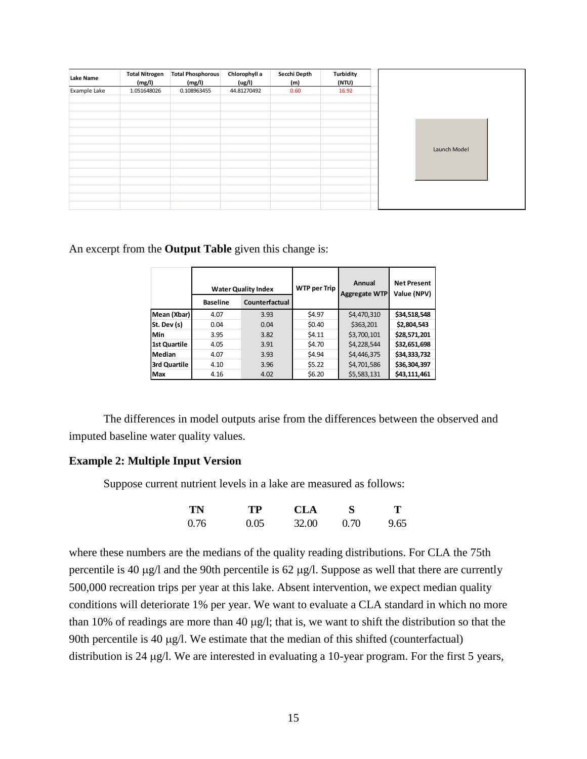| Lake Name    | <b>Total Nitrogen</b><br>(mg/l) | <b>Total Phosphorous</b><br>(mg/l) | Chlorophyll a<br>(ug/l) | Secchi Depth<br>(m) | <b>Turbidity</b><br>(NTU) |  |
|--------------|---------------------------------|------------------------------------|-------------------------|---------------------|---------------------------|--|
| Example Lake | 1.051648026                     | 0.108963455                        | 44.81270492             | 0.60                | 16.92                     |  |
|              |                                 |                                    |                         |                     |                           |  |
|              |                                 |                                    |                         |                     |                           |  |
|              |                                 |                                    |                         |                     |                           |  |
|              |                                 |                                    |                         |                     |                           |  |
|              |                                 |                                    |                         |                     |                           |  |
|              |                                 |                                    |                         |                     |                           |  |
|              |                                 |                                    |                         |                     |                           |  |
|              |                                 |                                    |                         |                     |                           |  |
|              |                                 |                                    |                         |                     |                           |  |
|              |                                 |                                    |                         |                     |                           |  |
|              |                                 |                                    |                         |                     |                           |  |

An excerpt from the **Output Table** given this change is:

|                     | <b>Baseline</b> | <b>Water Quality Index</b><br>Counterfactual | <b>WTP per Trip</b> | Annual<br><b>Aggregate WTP</b> | <b>Net Present</b><br>Value (NPV) |
|---------------------|-----------------|----------------------------------------------|---------------------|--------------------------------|-----------------------------------|
| Mean (Xbar)         | 4.07            | 3.93                                         | \$4.97              | \$4,470,310                    | \$34,518,548                      |
| St. Dev (s)         | 0.04            | 0.04                                         | \$0.40              | \$363,201                      | \$2,804,543                       |
| Min                 | 3.95            | 3.82                                         | \$4.11              | \$3,700,101                    | \$28,571,201                      |
| <b>1st Quartile</b> | 4.05            | 3.91                                         | \$4.70              | \$4,228,544                    | \$32,651,698                      |
| Median              | 4.07            | 3.93                                         | \$4.94              | \$4,446,375                    | \$34,333,732                      |
| 3rd Quartile        | 4.10            | 3.96                                         | \$5.22              | \$4,701,586                    | \$36,304,397                      |
| Max                 | 4.16            | 4.02                                         | \$6.20              | \$5,583,131                    | \$43,111,461                      |

The differences in model outputs arise from the differences between the observed and imputed baseline water quality values.

### <span id="page-17-0"></span>**Example 2: Multiple Input Version**

Suppose current nutrient levels in a lake are measured as follows:

| TN   | <b>TP</b> | <b>CLA</b> | S    | Т    |
|------|-----------|------------|------|------|
| 0.76 | 0.05      | 32.00      | 0.70 | 9.65 |

where these numbers are the medians of the quality reading distributions. For CLA the 75th percentile is 40  $\mu$ g/l and the 90th percentile is 62  $\mu$ g/l. Suppose as well that there are currently 500,000 recreation trips per year at this lake. Absent intervention, we expect median quality conditions will deteriorate 1% per year. We want to evaluate a CLA standard in which no more than 10% of readings are more than 40  $\mu$ g/l; that is, we want to shift the distribution so that the 90th percentile is 40  $\mu$ g/l. We estimate that the median of this shifted (counterfactual) distribution is 24  $\mu$ g/l. We are interested in evaluating a 10-year program. For the first 5 years,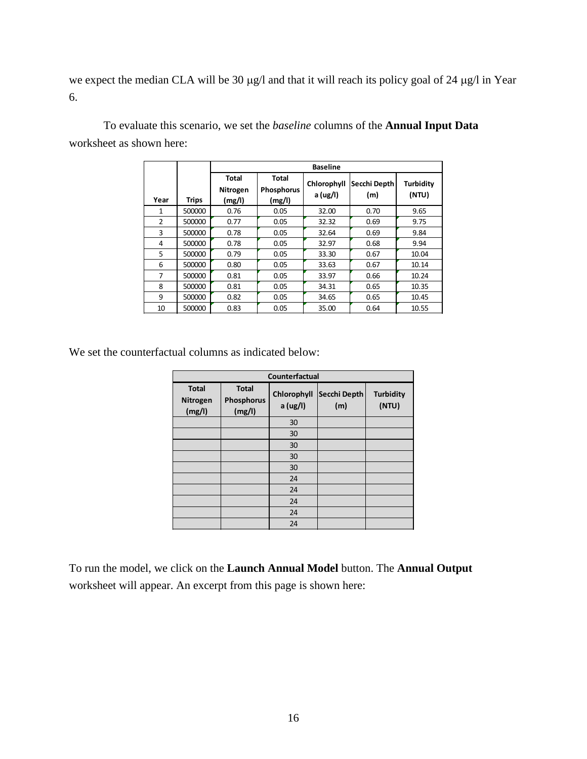we expect the median CLA will be 30 µg/l and that it will reach its policy goal of 24 µg/l in Year 6.

|                |              | <b>Baseline</b>                    |                                             |                         |                     |                    |  |
|----------------|--------------|------------------------------------|---------------------------------------------|-------------------------|---------------------|--------------------|--|
| Year           | <b>Trips</b> | <b>Total</b><br>Nitrogen<br>(mg/l) | <b>Total</b><br><b>Phosphorus</b><br>(mg/l) | Chlorophyll<br>a (ug/l) | Secchi Depth<br>(m) | Turbidity<br>(NTU) |  |
| 1              | 500000       | 0.76                               | 0.05                                        | 32.00                   | 0.70                | 9.65               |  |
| $\overline{2}$ | 500000       | 0.77                               | 0.05                                        | 32.32                   | 0.69                | 9.75               |  |
| 3              | 500000       | 0.78                               | 0.05                                        | 32.64                   | 0.69                | 9.84               |  |
| 4              | 500000       | 0.78                               | 0.05                                        | 32.97                   | 0.68                | 9.94               |  |
| 5              | 500000       | 0.79                               | 0.05                                        | 33.30                   | 0.67                | 10.04              |  |
| 6              | 500000       | 0.80                               | 0.05                                        | 33.63                   | 0.67                | 10.14              |  |
| 7              | 500000       | 0.81                               | 0.05                                        | 33.97                   | 0.66                | 10.24              |  |
| 8              | 500000       | 0.81                               | 0.05                                        | 34.31                   | 0.65                | 10.35              |  |
| 9              | 500000       | 0.82                               | 0.05                                        | 34.65                   | 0.65                | 10.45              |  |
| 10             | 500000       | 0.83                               | 0.05                                        | 35.00                   | 0.64                | 10.55              |  |

To evaluate this scenario, we set the *baseline* columns of the **Annual Input Data** worksheet as shown here:

We set the counterfactual columns as indicated below:

| Counterfactual                     |                                      |                         |                     |                           |  |  |  |  |
|------------------------------------|--------------------------------------|-------------------------|---------------------|---------------------------|--|--|--|--|
| <b>Total</b><br>Nitrogen<br>(mg/l) | <b>Total</b><br>Phosphorus<br>(mg/l) | Chlorophyll<br>a (ug/l) | Secchi Depth<br>(m) | <b>Turbidity</b><br>(NTU) |  |  |  |  |
|                                    |                                      | 30                      |                     |                           |  |  |  |  |
|                                    |                                      | 30                      |                     |                           |  |  |  |  |
|                                    |                                      | 30                      |                     |                           |  |  |  |  |
|                                    |                                      | 30                      |                     |                           |  |  |  |  |
|                                    |                                      | 30                      |                     |                           |  |  |  |  |
|                                    |                                      | 24                      |                     |                           |  |  |  |  |
|                                    |                                      | 24                      |                     |                           |  |  |  |  |
|                                    |                                      | 24                      |                     |                           |  |  |  |  |
|                                    |                                      | 24                      |                     |                           |  |  |  |  |
|                                    |                                      | 24                      |                     |                           |  |  |  |  |

To run the model, we click on the **Launch Annual Model** button. The **Annual Output** worksheet will appear. An excerpt from this page is shown here: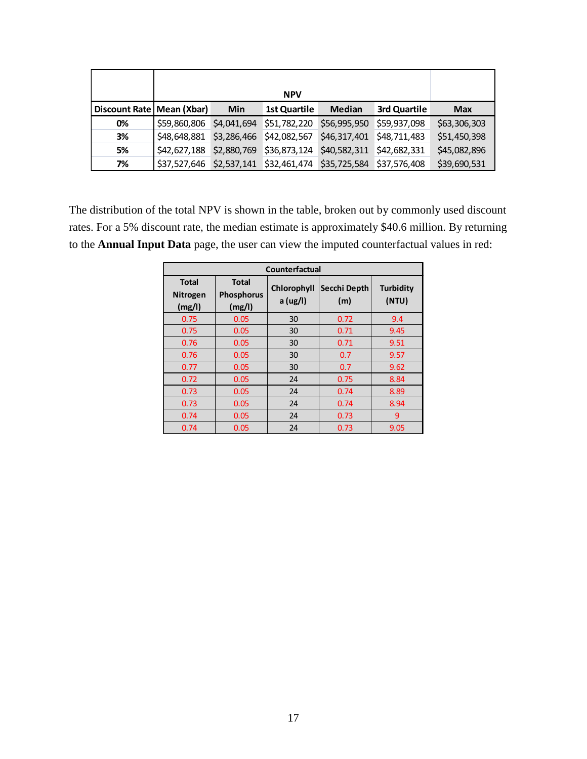| Discount Rate   Mean (Xbar) |              | <b>Min</b>  | <b>1st Quartile</b>                                             | <b>Median</b>             | 3rd Quartile | <b>Max</b>   |
|-----------------------------|--------------|-------------|-----------------------------------------------------------------|---------------------------|--------------|--------------|
| 0%                          | \$59,860,806 | \$4,041,694 | \$51,782,220                                                    | \$56,995,950              | \$59,937,098 | \$63,306,303 |
| 3%                          | \$48,648,881 |             | \$3,286,466 \$42,082,567                                        | \$46,317,401 \$48,711,483 |              | \$51,450,398 |
| 5%                          | \$42,627,188 |             | \$2,880,769 \$36,873,124                                        | \$40,582,311 \$42,682,331 |              | \$45,082,896 |
| 7%                          |              |             | \$37,527,646 \$2,537,141 \$32,461,474 \$35,725,584 \$37,576,408 |                           |              | \$39,690,531 |

The distribution of the total NPV is shown in the table, broken out by commonly used discount rates. For a 5% discount rate, the median estimate is approximately \$40.6 million. By returning to the **Annual Input Data** page, the user can view the imputed counterfactual values in red:

| Discount Rate   Mean (Xbar)                                                                                                                                                                                                                                |                                    | Min                                  | <b>1st Quartile</b>     | <b>Median</b>       | 3rd Quartile              | <b>Max</b> |  |  |  |
|------------------------------------------------------------------------------------------------------------------------------------------------------------------------------------------------------------------------------------------------------------|------------------------------------|--------------------------------------|-------------------------|---------------------|---------------------------|------------|--|--|--|
| 0%                                                                                                                                                                                                                                                         | \$59,860,806                       | \$4,041,694                          | \$51,782,220            | \$56,995,950        | \$59,937,098              | \$63,306,  |  |  |  |
| 3%                                                                                                                                                                                                                                                         | \$48,648,881                       | \$3,286,466                          | \$42,082,567            | \$46,317,401        | \$48,711,483              | \$51,450,  |  |  |  |
| 5%                                                                                                                                                                                                                                                         | \$42,627,188                       | \$2,880,769                          | \$36,873,124            | \$40,582,311        | \$42,682,331              | \$45,082,  |  |  |  |
| 7%                                                                                                                                                                                                                                                         | \$37,527,646                       | \$2,537,141                          | \$32,461,474            | \$35,725,584        | \$37,576,408              | \$39,690,  |  |  |  |
| listribution of the total NPV is shown in the table, broken out by commonly used d<br>For a 5% discount rate, the median estimate is approximately \$40.6 million. By re<br>Annual Input Data page, the user can view the imputed counterfactual values in |                                    |                                      |                         |                     |                           |            |  |  |  |
|                                                                                                                                                                                                                                                            | Counterfactual                     |                                      |                         |                     |                           |            |  |  |  |
|                                                                                                                                                                                                                                                            | <b>Total</b><br>Nitrogen<br>(mg/l) | <b>Total</b><br>Phosphorus<br>(mg/l) | Chlorophyll<br>a (ug/l) | Secchi Depth<br>(m) | <b>Turbidity</b><br>(NTU) |            |  |  |  |
|                                                                                                                                                                                                                                                            | 0.75                               | 0.05                                 | 30                      | 0.72                | 9.4                       |            |  |  |  |
|                                                                                                                                                                                                                                                            | 0.75                               | 0.05                                 | 30                      | 0.71                | 9.45                      |            |  |  |  |
|                                                                                                                                                                                                                                                            | 0.76                               | 0.05                                 | 30                      | 0.71                | 9.51                      |            |  |  |  |
|                                                                                                                                                                                                                                                            | 0.76                               | 0.05                                 | 30                      | 0.7                 | 9.57                      |            |  |  |  |
|                                                                                                                                                                                                                                                            | 0.77                               | 0.05                                 | 30                      | 0.7                 | 9.62                      |            |  |  |  |
|                                                                                                                                                                                                                                                            | 0.72<br>0.73                       | 0.05<br>0.05                         | 24<br>24                | 0.75<br>0.74        | 8.84<br>8.89              |            |  |  |  |
|                                                                                                                                                                                                                                                            | 0.73                               | 0.05                                 | 24                      | 0.74                | 8.94                      |            |  |  |  |
|                                                                                                                                                                                                                                                            | 0.74                               | 0.05                                 | 24                      | 0.73                | 9                         |            |  |  |  |
|                                                                                                                                                                                                                                                            | 0.74                               | 0.05                                 | 24                      | 0.73                | 9.05                      |            |  |  |  |
|                                                                                                                                                                                                                                                            |                                    |                                      |                         |                     |                           |            |  |  |  |
|                                                                                                                                                                                                                                                            |                                    |                                      | 17                      |                     |                           |            |  |  |  |